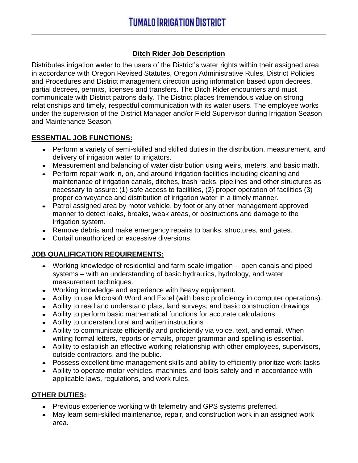#### **Ditch Rider Job Description**

Distributes irrigation water to the users of the District's water rights within their assigned area in accordance with Oregon Revised Statutes, Oregon Administrative Rules, District Policies and Procedures and District management direction using information based upon decrees, partial decrees, permits, licenses and transfers. The Ditch Rider encounters and must communicate with District patrons daily. The District places tremendous value on strong relationships and timely, respectful communication with its water users. The employee works under the supervision of the District Manager and/or Field Supervisor during Irrigation Season and Maintenance Season.

#### **ESSENTIAL JOB FUNCTIONS:**

- Perform a variety of semi-skilled and skilled duties in the distribution, measurement, and delivery of irrigation water to irrigators.
- Measurement and balancing of water distribution using weirs, meters, and basic math.
- Perform repair work in, on, and around irrigation facilities including cleaning and maintenance of irrigation canals, ditches, trash racks, pipelines and other structures as necessary to assure: (1) safe access to facilities, (2) proper operation of facilities (3) proper conveyance and distribution of irrigation water in a timely manner.
- Patrol assigned area by motor vehicle, by foot or any other management approved manner to detect leaks, breaks, weak areas, or obstructions and damage to the irrigation system.
- Remove debris and make emergency repairs to banks, structures, and gates.
- Curtail unauthorized or excessive diversions.

# **JOB QUALIFICATION REQUIREMENTS:**

- Working knowledge of residential and farm-scale irrigation -- open canals and piped systems – with an understanding of basic hydraulics, hydrology, and water measurement techniques.
- Working knowledge and experience with heavy equipment.
- Ability to use Microsoft Word and Excel (with basic proficiency in computer operations).
- Ability to read and understand plats, land surveys, and basic construction drawings
- Ability to perform basic mathematical functions for accurate calculations
- Ability to understand oral and written instructions
- Ability to communicate efficiently and proficiently via voice, text, and email. When writing formal letters, reports or emails, proper grammar and spelling is essential.
- Ability to establish an effective working relationship with other employees, supervisors, outside contractors, and the public.
- Possess excellent time management skills and ability to efficiently prioritize work tasks
- Ability to operate motor vehicles, machines, and tools safely and in accordance with applicable laws, regulations, and work rules.

# **OTHER DUTIES:**

- Previous experience working with telemetry and GPS systems preferred.
- May learn semi-skilled maintenance, repair, and construction work in an assigned work area.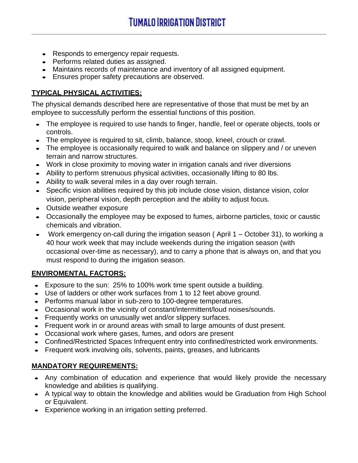- Responds to emergency repair requests.
- Performs related duties as assigned.
- Maintains records of maintenance and inventory of all assigned equipment.
- Ensures proper safety precautions are observed.

# **TYPICAL PHYSICAL ACTIVITIES:**

The physical demands described here are representative of those that must be met by an employee to successfully perform the essential functions of this position.

- The employee is required to use hands to finger, handle, feel or operate objects, tools or controls.
- The employee is required to sit, climb, balance, stoop, kneel, crouch or crawl.
- The employee is occasionally required to walk and balance on slippery and / or uneven terrain and narrow structures.
- Work in close proximity to moving water in irrigation canals and river diversions
- Ability to perform strenuous physical activities, occasionally lifting to 80 lbs.
- Ability to walk several miles in a day over rough terrain.
- Specific vision abilities required by this job include close vision, distance vision, color vision, peripheral vision, depth perception and the ability to adjust focus.
- Outside weather exposure
- Occasionally the employee may be exposed to fumes, airborne particles, toxic or caustic chemicals and vibration.
- Work emergency on-call during the irrigation season (April 1 October 31), to working a 40 hour work week that may include weekends during the irrigation season (with occasional over-time as necessary), and to carry a phone that is always on, and that you must respond to during the irrigation season.

# **ENVIROMENTAL FACTORS:**

- Exposure to the sun: 25% to 100% work time spent outside a building.
- Use of ladders or other work surfaces from 1 to 12 feet above ground.
- Performs manual labor in sub-zero to 100-degree temperatures.
- Occasional work in the vicinity of constant/intermittent/loud noises/sounds.
- Frequently works on unusually wet and/or slippery surfaces.
- Frequent work in or around areas with small to large amounts of dust present.
- Occasional work where gases, fumes, and odors are present
- Confined/Restricted Spaces Infrequent entry into confined/restricted work environments.
- Frequent work involving oils, solvents, paints, greases, and lubricants

#### **MANDATORY REQUIREMENTS:**

- Any combination of education and experience that would likely provide the necessary knowledge and abilities is qualifying.
- A typical way to obtain the knowledge and abilities would be Graduation from High School or Equivalent.
- Experience working in an irrigation setting preferred.